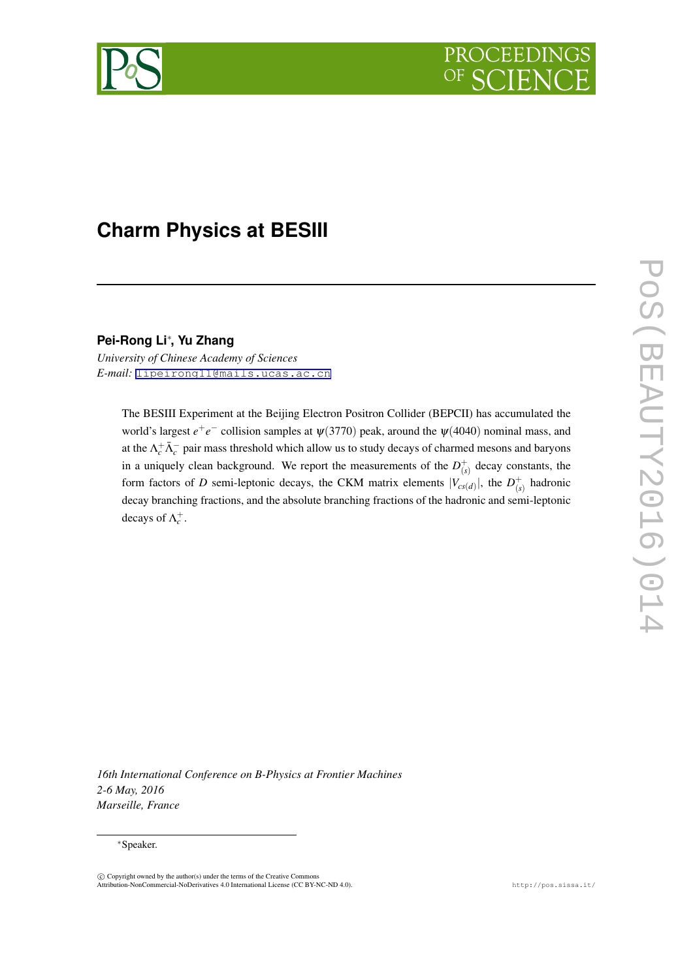

# **Charm Physics at BESIII**

**Pei-Rong Li***∗* **, Yu Zhang**

*University of Chinese Academy of Sciences E-mail:* [lipeirong11@mails.ucas.ac.cn](mailto:lipeirong11@mails.ucas.ac.cn)

> The BESIII Experiment at the Beijing Electron Positron Collider (BEPCII) has accumulated the world's largest  $e^+e^-$  collision samples at  $\psi(3770)$  peak, around the  $\psi(4040)$  nominal mass, and at the  $\Lambda_c^+ \bar{\Lambda}_c^-$  pair mass threshold which allow us to study decays of charmed mesons and baryons in a uniquely clean background. We report the measurements of the  $D^+_{(s)}$  decay constants, the form factors of *D* semi-leptonic decays, the CKM matrix elements  $|V_{cs(d)}|$ , the  $D^+_{(s)}$  hadronic decay branching fractions, and the absolute branching fractions of the hadronic and semi-leptonic decays of  $\Lambda_c^+$ .

POS(BEAUTY2016)014 PoS(BEAUTY2016)014

*16th International Conference on B-Physics at Frontier Machines 2-6 May, 2016 Marseille, France*

#### *∗*Speaker.

 $\circled{c}$  Copyright owned by the author(s) under the terms of the Creative Commons Attribution-NonCommercial-NoDerivatives 4.0 International License (CC BY-NC-ND 4.0). http://pos.sissa.it/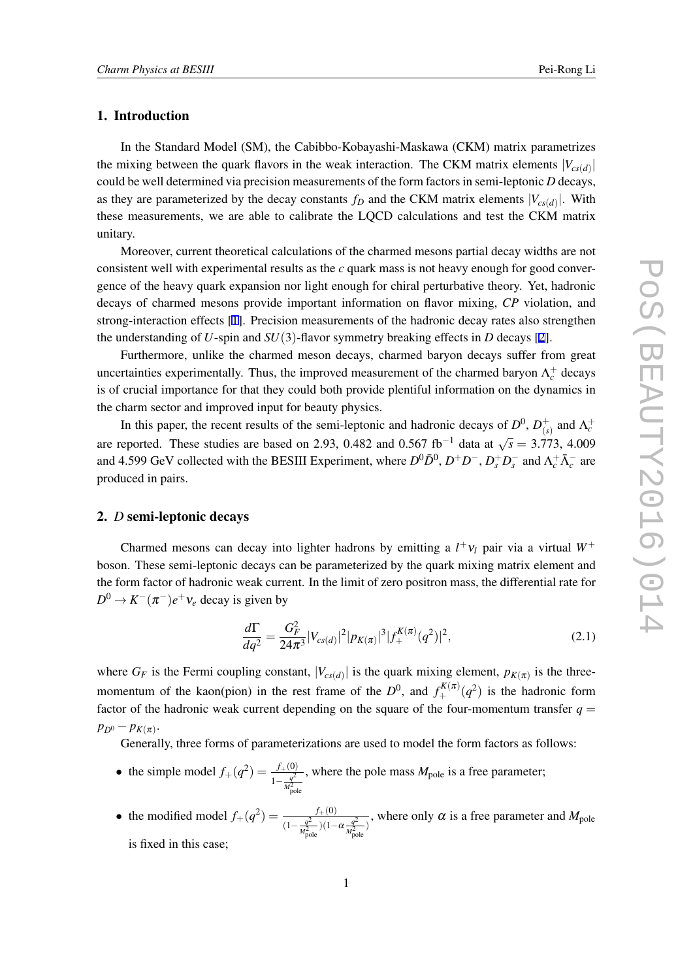### 1. Introduction

In the Standard Model (SM), the Cabibbo-Kobayashi-Maskawa (CKM) matrix parametrizes the mixing between the quark flavors in the weak interaction. The CKM matrix elements  $|V_{cs(d)}|$ could be well determined via precision measurements of the form factors in semi-leptonic *D* decays, as they are parameterized by the decay constants  $f_D$  and the CKM matrix elements  $|V_{cs(d)}|$ . With these measurements, we are able to calibrate the LQCD calculations and test the CKM matrix unitary.

Moreover, current theoretical calculations of the charmed mesons partial decay widths are not consistent well with experimental results as the *c* quark mass is not heavy enough for good convergence of the heavy quark expansion nor light enough for chiral perturbative theory. Yet, hadronic decays of charmed mesons provide important information on flavor mixing, *CP* violation, and strong-interaction effects [\[1\]](#page-5-0). Precision measurements of the hadronic decay rates also strengthen the understanding of  $U$ -spin and  $SU(3)$ -flavor symmetry breaking effects in  $D$  decays [[2](#page-5-0)].

Furthermore, unlike the charmed meson decays, charmed baryon decays suffer from great uncertainties experimentally. Thus, the improved measurement of the charmed baryon  $\Lambda_c^+$  decays is of crucial importance for that they could both provide plentiful information on the dynamics in the charm sector and improved input for beauty physics.

In this paper, the recent results of the semi-leptonic and hadronic decays of  $D^0$ ,  $D^+$ <sub>(s</sub>  $\Lambda_c^+$  and  $\Lambda_c^+$ are reported. These studies are based on 2.93, 0.482 and 0.567 fb*−*<sup>1</sup> data at *√ s* = 3.773, 4.009 and 4.599 GeV collected with the BESIII Experiment, where  $D^0 \bar{D}^0$ ,  $D^+ D^-$ ,  $D_s^+ D_s^-$  and  $\Lambda_c^+ \bar{\Lambda}_c^-$  are produced in pairs.

#### 2. *D* semi-leptonic decays

Charmed mesons can decay into lighter hadrons by emitting a  $l^+v_l$  pair via a virtual  $W^+$ boson. These semi-leptonic decays can be parameterized by the quark mixing matrix element and the form factor of hadronic weak current. In the limit of zero positron mass, the differential rate for  $D^0 \to K^-(\pi^-)e^+\nu_e$  decay is given by

$$
\frac{d\Gamma}{dq^2} = \frac{G_F^2}{24\pi^3} |V_{cs(d)}|^2 |p_{K(\pi)}|^3 |f_+^{K(\pi)}(q^2)|^2,
$$
\n(2.1)

where  $G_F$  is the Fermi coupling constant,  $|V_{cs(d)}|$  is the quark mixing element,  $p_{K(\pi)}$  is the threemomentum of the kaon(pion) in the rest frame of the  $D^0$ , and  $f_+^{K(\pi)}(q^2)$  is the hadronic form factor of the hadronic weak current depending on the square of the four-momentum transfer  $q =$  $p_{D^0} - p_{K(\pi)}$ .

Generally, three forms of parameterizations are used to model the form factors as follows:

- the simple model  $f_{+}(q^{2}) = \frac{f_{+}(0)}{1 q^{2}}$  $\frac{q^2}{1-\frac{q^2}{M_{\rm pole}^2}}$ , where the pole mass  $M_{pole}$  is a free parameter;
- the modified model  $f_+(q^2) = \frac{f_+(0)}{(1-q^2)(1-q^2)}$  $\frac{J+(0)}{(1-\frac{q^2}{M_{\text{pole}}^2})(1-\alpha \frac{q^2}{M_{\text{pole}}^2})}$ , where only  $\alpha$  is a free parameter and *M*<sub>pole</sub> is fixed in this case;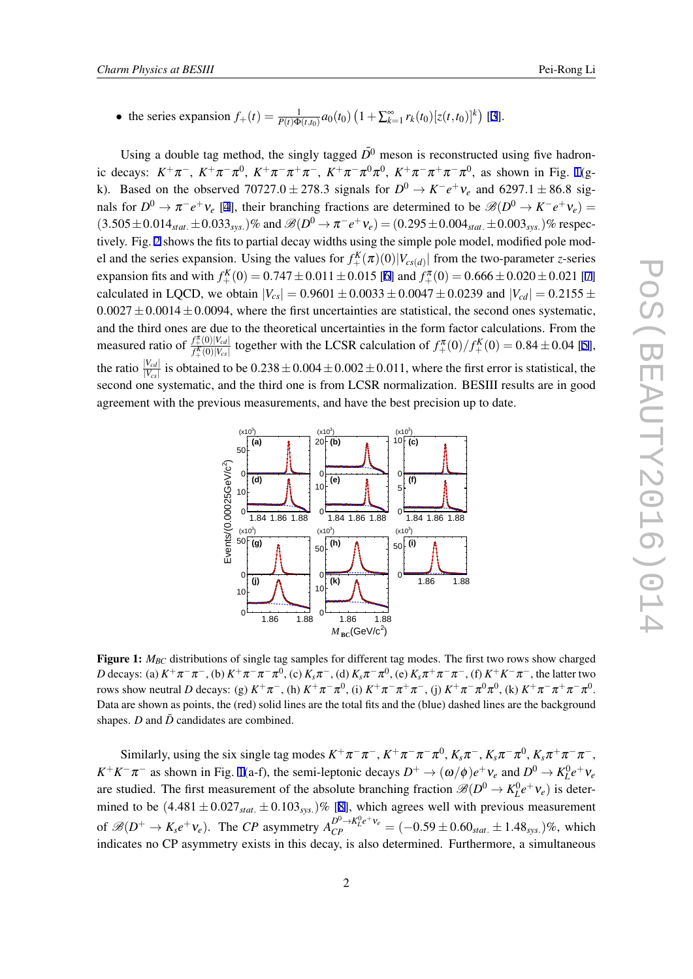<span id="page-2-0"></span>• the series expansion  $f_+(t) = \frac{1}{P(t)\Phi(t,t_0)} a_0(t_0) \left(1 + \sum_{k=1}^{\infty} r_k(t_0) [z(t,t_0)]^k \right)$  [[3](#page-5-0)].

Using a double tag method, the singly tagged  $\overline{D}^0$  meson is reconstructed using five hadronic decays:  $K^+\pi^-$ ,  $K^+\pi^-\pi^0$ ,  $K^+\pi^-\pi^+\pi^-$ ,  $K^+\pi^-\pi^0\pi^0$ ,  $K^+\pi^-\pi^+\pi^-\pi^0$ , as shown in Fig. 1(gk). Based on the observed  $70727.0 \pm 278.3$  signals for  $D^0 \rightarrow K^-e^+\nu_e$  and  $6297.1 \pm 86.8$  signals for  $D^0 \to \pi^- e^+ \nu_e$  [\[4\]](#page-5-0), their branching fractions are determined to be  $\mathscr{B}(D^0 \to K^- e^+ \nu_e)$  =  $(3.505 \pm 0.014_{stat.} \pm 0.033_{sys.})\%$  and  $\mathscr{B}(D^0 \to \pi^- e^+ \nu_e) = (0.295 \pm 0.004_{stat.} \pm 0.003_{sys.})\%$  respectively. Fig. [2](#page-3-0) shows the fits to partial decay widths using the simple pole model, modified pole model and the series expansion. Using the values for  $f_{+}^{K}(\pi)(0)|V_{cs(d)}|$  from the two-parameter *z*-series expansion fits and with  $f_+^K(0) = 0.747 \pm 0.011 \pm 0.015$  $f_+^K(0) = 0.747 \pm 0.011 \pm 0.015$  $f_+^K(0) = 0.747 \pm 0.011 \pm 0.015$  [\[6](#page-5-0)] and  $f_+^{\pi}(0) = 0.666 \pm 0.020 \pm 0.021$  [7] calculated in LQCD, we obtain  $|V_{cs}| = 0.9601 \pm 0.0033 \pm 0.0047 \pm 0.0239$  and  $|V_{cd}| = 0.2155 \pm 0.0047$  $0.0027 \pm 0.0014 \pm 0.0094$ , where the first uncertainties are statistical, the second ones systematic, and the third ones are due to the theoretical uncertainties in the form factor calculations. From the measured ratio of  $\frac{f_+^{\pi}(0)|V_{cd}|}{f_+^{\pi}(0)|V_{cs}|}$  together with the LCSR calculation of  $f_+^{\pi}(0)/f_+^{\pi}(0) = 0.84 \pm 0.04$  [\[5\]](#page-5-0), the ratio  $\frac{|V_{cd}|}{|V_{cs}|}$  is obtained to be  $0.238 \pm 0.004 \pm 0.002 \pm 0.011$ , where the first error is statistical, the second one systematic, and the third one is from LCSR normalization. BESIII results are in good agreement with the previous measurements, and have the best precision up to date.



Figure 1:  $M_{BC}$  distributions of single tag samples for different tag modes. The first two rows show charged D decays: (a)  $K^+\pi^-\pi^-$ , (b)  $K^+\pi^-\pi^-\pi^0$ , (c)  $K_s\pi^-$ , (d)  $K_s\pi^-\pi^0$ , (e)  $K_s\pi^+\pi^-\pi^-$ , (f)  $K^+K^-\pi^-$ , the latter two rows show neutral *D* decays: (g)  $K^+\pi^-$ , (h)  $K^+\pi^-\pi^0$ , (i)  $K^+\pi^-\pi^+\pi^-$ , (j)  $K^+\pi^-\pi^0\pi^0$ , (k)  $K^+\pi^-\pi^+\pi^-\pi^0$ . Data are shown as points, the (red) solid lines are the total fits and the (blue) dashed lines are the background shapes.  $D$  and  $\overline{D}$  candidates are combined.

Similarly, using the six single tag modes  $K^+\pi^-\pi^-, K^+\pi^-\pi^-\pi^0, K_s\pi^-, K_s\pi^-\pi^0, K_s\pi^+\pi^-\pi^-,$  $K^+K^-\pi^-$  as shown in Fig. 1(a-f), the semi-leptonic decays  $D^+ \to (\omega/\phi)e^+v_e$  and  $D^0 \to K_L^0e^+v_e$ are studied. The first measurement of the absolute branching fraction  $\mathscr{B}(D^0 \to K_L^0 e^+ \nu_e)$  is determined to be  $(4.481 \pm 0.027<sub>stat</sub> \pm 0.103<sub>sys</sub>)$  $(4.481 \pm 0.027<sub>stat</sub> \pm 0.103<sub>sys</sub>)$  $(4.481 \pm 0.027<sub>stat</sub> \pm 0.103<sub>sys</sub>)$ % [8], which agrees well with previous measurement of  $\mathscr{B}(D^+ \to K_s e^+ \nu_e)$ . The CP asymmetry  $A_{CP}^{D^0 \to K_L^0 e^+ \nu_e} = (-0.59 \pm 0.60_{stat.} \pm 1.48_{sys.})\%$ , which indicates no CP asymmetry exists in this decay, is also determined. Furthermore, a simultaneous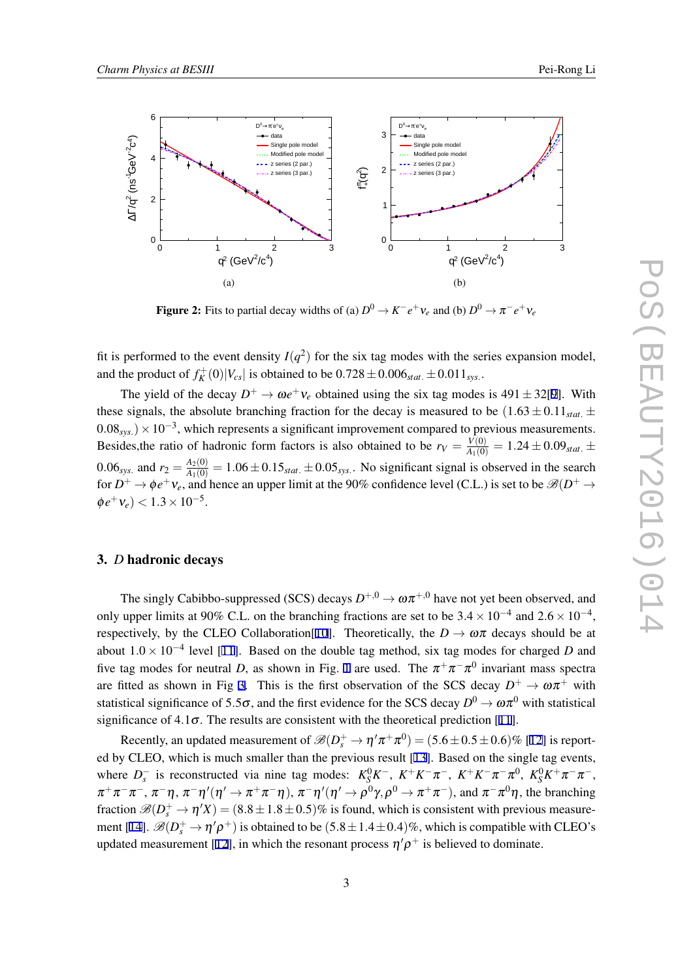<span id="page-3-0"></span>

**Figure 2:** Fits to partial decay widths of (a)  $D^0 \to K^-e^+\nu_e$  and (b)  $D^0 \to \pi^-e^+\nu_e$ 

fit is performed to the event density  $I(q^2)$  for the six tag modes with the series expansion model, and the product of  $f_K^+(0)|V_{cs}|$  is obtained to be  $0.728 \pm 0.006_{stat.} \pm 0.011_{sys.}$ 

The yield of the decay  $D^+ \to \omega e^+ v_e$  obtained using the six tag modes is 491  $\pm$  32[[9\]](#page-5-0). With these signals, the absolute branching fraction for the decay is measured to be  $(1.63 \pm 0.11_{stat.} \pm 1.00)$ <sup>0</sup>*.*08*sys.*)*×*10*−*<sup>3</sup> , which represents a significant improvement compared to previous measurements. Besides, the ratio of hadronic form factors is also obtained to be  $r_V = \frac{V(0)}{A_1(0)} = 1.24 \pm 0.09_{stat.} \pm 0.09_{stat.} \pm 0.09_{syst.}$ 0.06<sub>*sys*</sub> and  $r_2 = \frac{A_2(0)}{A_1(0)} = 1.06 \pm 0.15_{stat} \pm 0.05_{sys}$ . No significant signal is observed in the search for  $D^+ \to \phi e^+v_e$ , and hence an upper limit at the 90% confidence level (C.L.) is set to be  $\mathscr{B}(D^+ \to \phi e^+v_e)$  $\phi e^+ v_e$ ) < 1.3 × 10<sup>-5</sup>.

#### 3. *D* hadronic decays

The singly Cabibbo-suppressed (SCS) decays  $D^{+,0} \to \omega \pi^{+,0}$  have not yet been observed, and only upper limits at 90% C.L. on the branching fractions are set to be  $3.4 \times 10^{-4}$  and  $2.6 \times 10^{-4}$ , respectively, by the CLEO Collaboration [[10\]](#page-5-0). Theoretically, the  $D \to \omega \pi$  decays should be at about 1*.*<sup>0</sup> *<sup>×</sup>* <sup>10</sup>*−*<sup>4</sup> level [\[11](#page-5-0)]. Based on the double tag method, six tag modes for charged *D* and five tag modes for neutral *D*, as shown in Fig. [1](#page-2-0) are used. The  $\pi^+\pi^-\pi^0$  invariant mass spectra are fitted as shown in Fig [3](#page-4-0). This is the first observation of the SCS decay  $D^+ \to \omega \pi^+$  with statistical significance of 5.5 $\sigma$ , and the first evidence for the SCS decay  $D^0 \to \omega \pi^0$  with statistical significance of  $4.1\sigma$ . The results are consistent with the theoretical prediction [[11\]](#page-5-0).

Recently, an updated measurement of  $\mathcal{B}(D_s^+ \to \eta' \pi^+ \pi^0) = (5.6 \pm 0.5 \pm 0.6)\%$  [\[12](#page-5-0)] is reported by CLEO, which is much smaller than the previous result [[13](#page-5-0)]. Based on the single tag events, where  $D_s^-$  is reconstructed via nine tag modes:  $K_S^0 K^-$ ,  $K^+ K^- \pi^-$ ,  $K^+ K^- \pi^- \pi^0$ ,  $K_S^0 K^+ \pi^- \pi^-$ ,  $π^+π^-π^-, π^-\eta, π^-\eta'$ <sup>*′*</sup>( $η' → π^+π^-\eta$ ), π<sup>-</sup>η<sup>*′*</sup>( $η' → ρ<sup>0</sup>γ, ρ<sup>0</sup> → π^+π^-$ ), and  $π^-π<sup>0</sup>η$ , the branching fraction  $\mathscr{B}(D_s^+ \to \eta'X) = (8.8 \pm 1.8 \pm 0.5)\%$  is found, which is consistent with previous measure-ment [\[14](#page-5-0)].  $\mathscr{B}(D_s^+ \to \eta' \rho^+)$  is obtained to be  $(5.8 \pm 1.4 \pm 0.4)\%$ , which is compatible with CLEO's updated measurement [\[12](#page-5-0)], in which the resonant process  $\eta' \rho^+$  is believed to dominate.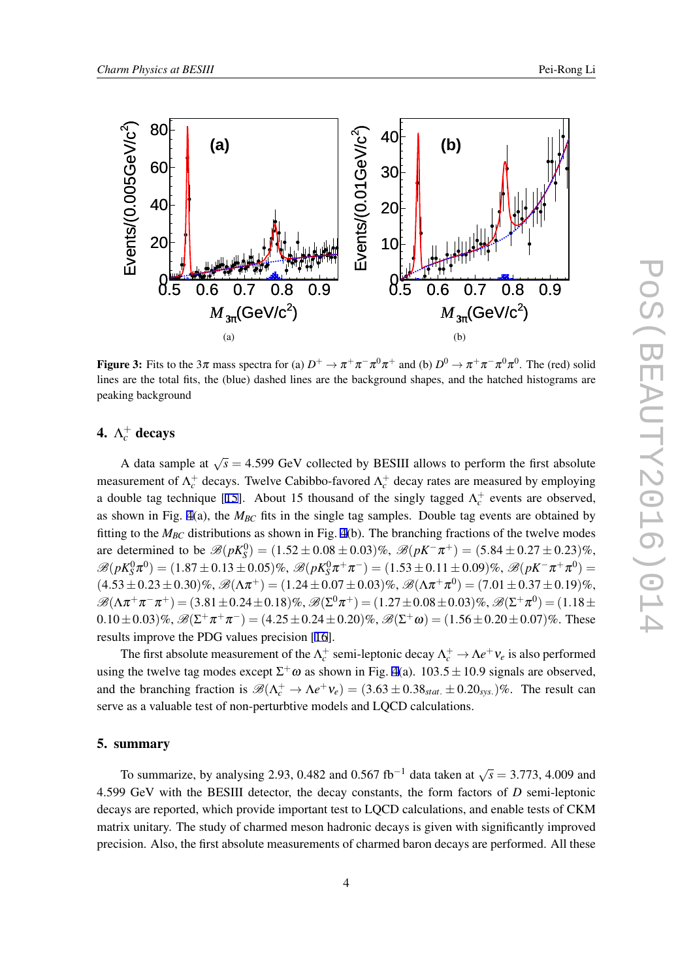<span id="page-4-0"></span>

Figure 3: Fits to the  $3\pi$  mass spectra for (a)  $D^+ \to \pi^+\pi^-\pi^0\pi^+$  and (b)  $D^0 \to \pi^+\pi^-\pi^0\pi^0$ . The (red) solid lines are the total fits, the (blue) dashed lines are the background shapes, and the hatched histograms are peaking background

## 4.  $\Lambda_c^+$  decays

A data sample at  $\sqrt{s} = 4.599$  GeV collected by BESIII allows to perform the first absolute measurement of  $\Lambda_c^+$  decays. Twelve Cabibbo-favored  $\Lambda_c^+$  decay rates are measured by employing a double tag technique [[15\]](#page-5-0). About 15 thousand of the singly tagged  $\Lambda_c^+$  events are observed, as shown in Fig. [4\(](#page-5-0)a), the *MBC* fits in the single tag samples. Double tag events are obtained by fitting to the *MBC* distributions as shown in Fig. [4](#page-5-0)(b). The branching fractions of the twelve modes are determined to be  $\mathcal{B}(pK_S^0) = (1.52 \pm 0.08 \pm 0.03)\%$ ,  $\mathcal{B}(pK^-\pi^+) = (5.84 \pm 0.27 \pm 0.23)\%$ ,  $\mathscr{B}(pK_S^0\pi^0)=(1.87\pm 0.13\pm 0.05)\%,\ \mathscr{B}(pK_S^0\pi^+\pi^-)=(1.53\pm 0.11\pm 0.09)\%,\ \mathscr{B}(pK^-\pi^+\pi^0)=$  $(4.53 \pm 0.23 \pm 0.30)\%$ ,  $\mathscr{B}(\Lambda \pi^+) = (1.24 \pm 0.07 \pm 0.03)\%$ ,  $\mathscr{B}(\Lambda \pi^+ \pi^0) = (7.01 \pm 0.37 \pm 0.19)\%$ ,  $B(\Lambda \pi^+ \pi^- \pi^+) = (3.81 \pm 0.24 \pm 0.18)\%$ ,  $B(\Sigma^0 \pi^+) = (1.27 \pm 0.08 \pm 0.03)\%$ ,  $B(\Sigma^+ \pi^0) = (1.18 \pm 0.03)\%$  $(0.10 \pm 0.03)\%$ ,  $\mathscr{B}(\Sigma^+\pi^+\pi^-) = (4.25 \pm 0.24 \pm 0.20)\%$ ,  $\mathscr{B}(\Sigma^+\omega) = (1.56 \pm 0.20 \pm 0.07)\%$ . These results improve the PDG values precision [[16\]](#page-5-0).

The first absolute measurement of the  $\Lambda_c^+$  semi-leptonic decay  $\Lambda_c^+ \to \Lambda e^+ \nu_e$  is also performed using the twelve tag modes except  $\Sigma^+\omega$  as shown in Fig. [4](#page-5-0)(a).  $103.5 \pm 10.9$  signals are observed, and the branching fraction is  $\mathcal{B}(\Lambda_c^+ \to \Lambda e^+ \nu_e) = (3.63 \pm 0.38_{stat.} \pm 0.20_{sys.})\%$ . The result can serve as a valuable test of non-perturbtive models and LQCD calculations.

#### 5. summary

To summarize, by analysing 2.93, 0.482 and 0.567 fb<sup>-1</sup> data taken at  $\sqrt{s} = 3.773$ , 4.009 and 4.599 GeV with the BESIII detector, the decay constants, the form factors of *D* semi-leptonic decays are reported, which provide important test to LQCD calculations, and enable tests of CKM matrix unitary. The study of charmed meson hadronic decays is given with significantly improved precision. Also, the first absolute measurements of charmed baron decays are performed. All these